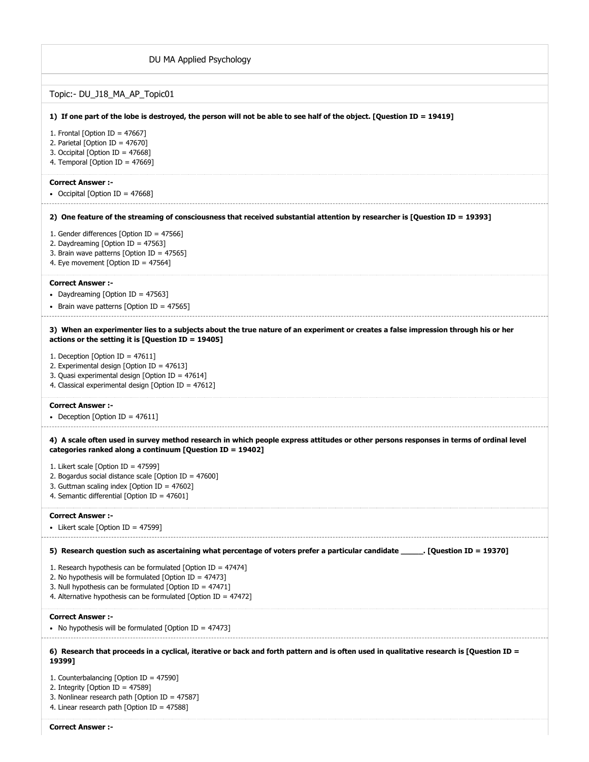| DU MA Applied Psychology                                                                                                                                                                                                                                           |
|--------------------------------------------------------------------------------------------------------------------------------------------------------------------------------------------------------------------------------------------------------------------|
| Topic:- DU_J18_MA_AP_Topic01                                                                                                                                                                                                                                       |
| 1) If one part of the lobe is destroyed, the person will not be able to see half of the object. [Question ID = 19419]                                                                                                                                              |
| 1. Frontal [Option ID = $47667$ ]<br>2. Parietal [Option ID = 47670]<br>3. Occipital [Option ID = 47668]<br>4. Temporal [Option ID = $47669$ ]                                                                                                                     |
| <b>Correct Answer:-</b><br>• Occipital [Option ID = 47668]                                                                                                                                                                                                         |
| 2) One feature of the streaming of consciousness that received substantial attention by researcher is [Question ID = 19393]                                                                                                                                        |
| 1. Gender differences [Option ID = 47566]<br>2. Daydreaming [Option ID = 47563]<br>3. Brain wave patterns [Option ID = 47565]<br>4. Eye movement [Option ID = 47564]                                                                                               |
| <b>Correct Answer:-</b><br>• Daydreaming [Option ID = 47563]<br>Brain wave patterns [Option ID = 47565]                                                                                                                                                            |
| 3) When an experimenter lies to a subjects about the true nature of an experiment or creates a false impression through his or her<br>actions or the setting it is [Question ID = 19405]                                                                           |
| 1. Deception [Option ID = $47611$ ]<br>2. Experimental design [Option ID = 47613]<br>3. Quasi experimental design [Option ID = 47614]<br>4. Classical experimental design [Option ID = 47612]                                                                      |
| <b>Correct Answer :-</b><br>• Deception [Option ID = 47611]                                                                                                                                                                                                        |
| 4) A scale often used in survey method research in which people express attitudes or other persons responses in terms of ordinal level<br>categories ranked along a continuum [Question ID = 19402]                                                                |
| 1. Likert scale [Option ID = $47599$ ]<br>2. Bogardus social distance scale [Option ID = $47600$ ]<br>3. Guttman scaling index [Option ID = $47602$ ]<br>4. Semantic differential [Option ID = 47601]                                                              |
| <b>Correct Answer:-</b><br>• Likert scale [Option ID = 47599]                                                                                                                                                                                                      |
| 5) Research question such as ascertaining what percentage of voters prefer a particular candidate ______. [Question ID = 19370]                                                                                                                                    |
| 1. Research hypothesis can be formulated [Option ID = $47474$ ]<br>2. No hypothesis will be formulated [Option ID = $47473$ ]<br>3. Null hypothesis can be formulated [Option ID = $47471$ ]<br>4. Alternative hypothesis can be formulated [Option ID = $47472$ ] |
| <b>Correct Answer:-</b><br>• No hypothesis will be formulated [Option ID = 47473]                                                                                                                                                                                  |
| 6) Research that proceeds in a cyclical, iterative or back and forth pattern and is often used in qualitative research is [Question ID =<br>19399]                                                                                                                 |
| 1. Counterbalancing [Option ID = 47590]<br>2. Integrity [Option ID = $47589$ ]<br>3. Nonlinear research path [Option ID = 47587]<br>4. Linear research path [Option ID = $47588$ ]                                                                                 |
| <b>Correct Answer :-</b>                                                                                                                                                                                                                                           |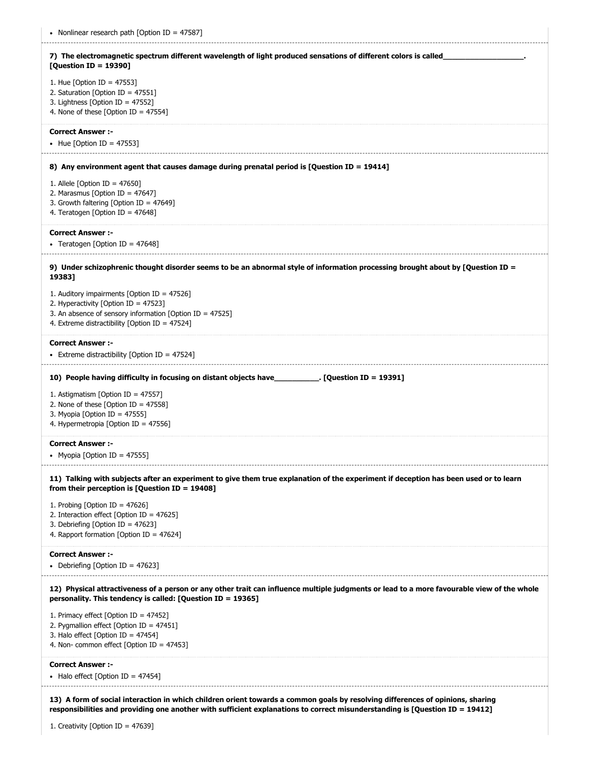| • Nonlinear research path [Option ID = 47587]                                                                                                                                                             |
|-----------------------------------------------------------------------------------------------------------------------------------------------------------------------------------------------------------|
| 7) The electromagnetic spectrum different wavelength of light produced sensations of different colors is called<br>[Question ID = 19390]                                                                  |
| 1. Hue [Option ID = $47553$ ]<br>2. Saturation [Option ID = $47551$ ]<br>3. Lightness [Option ID = $47552$ ]<br>4. None of these [Option ID = $47554$ ]                                                   |
| <b>Correct Answer :-</b><br>• Hue [Option ID = 47553]                                                                                                                                                     |
| 8) Any environment agent that causes damage during prenatal period is [Question ID = 19414]                                                                                                               |
| 1. Allele [Option ID = $47650$ ]<br>2. Marasmus [Option ID = $47647$ ]<br>3. Growth faltering [Option ID = 47649]<br>4. Teratogen [Option ID = 47648]                                                     |
| <b>Correct Answer:-</b><br>• Teratogen [Option ID = $47648$ ]                                                                                                                                             |
| 9) Under schizophrenic thought disorder seems to be an abnormal style of information processing brought about by [Question ID =<br>19383]                                                                 |
| 1. Auditory impairments [Option ID = 47526]<br>2. Hyperactivity [Option ID = 47523]<br>3. An absence of sensory information [Option ID = $47525$ ]<br>4. Extreme distractibility [Option ID = $47524$ ]   |
| <b>Correct Answer :-</b><br>• Extreme distractibility [Option ID = $47524$ ]                                                                                                                              |
| 10) People having difficulty in focusing on distant objects have_____________. [Question ID = 19391]                                                                                                      |
| 1. Astigmatism [Option ID = 47557]<br>2. None of these [Option ID = $47558$ ]                                                                                                                             |
| 3. Myopia [Option ID = 47555]<br>4. Hypermetropia [Option ID = $47556$ ]                                                                                                                                  |
| <b>Correct Answer :-</b><br>• Myopia [Option ID = 47555]                                                                                                                                                  |
| 11) Talking with subjects after an experiment to give them true explanation of the experiment if deception has been used or to learn<br>from their perception is $[Question ID = 19408]$                  |
| 1. Probing [Option ID = $47626$ ]<br>2. Interaction effect [Option ID = $47625$ ]<br>3. Debriefing [Option ID = 47623]<br>4. Rapport formation [Option ID = 47624]                                        |
| <b>Correct Answer:-</b><br>• Debriefing [Option ID = 47623]                                                                                                                                               |
| 12) Physical attractiveness of a person or any other trait can influence multiple judgments or lead to a more favourable view of the whole<br>personality. This tendency is called: [Question ID = 19365] |
| 1. Primacy effect [Option ID = $47452$ ]<br>2. Pygmallion effect [Option ID = 47451]<br>3. Halo effect [Option ID = $47454$ ]<br>4. Non- common effect [Option ID = $47453$ ]                             |
| <b>Correct Answer :-</b><br>• Halo effect [Option ID = 47454]                                                                                                                                             |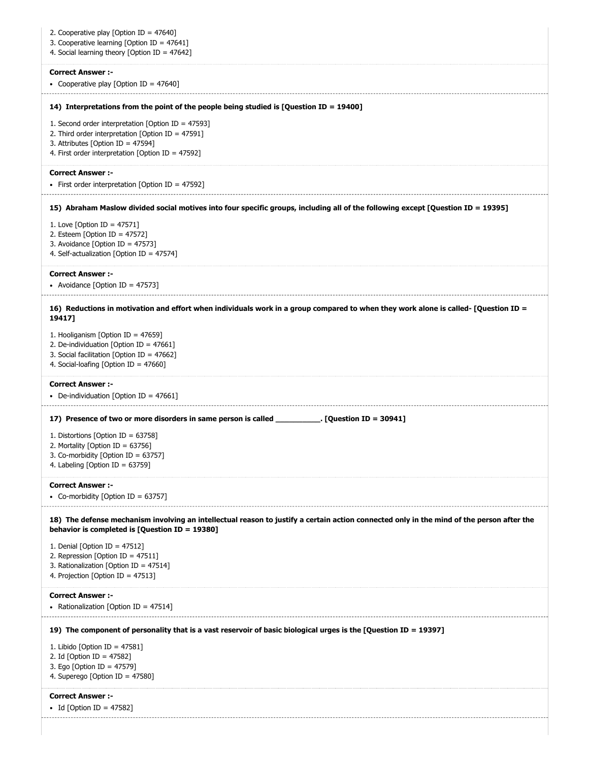| 2. Cooperative play [Option ID = 47640]<br>3. Cooperative learning [Option ID = 47641]<br>4. Social learning theory [Option ID = 47642]                                                              |
|------------------------------------------------------------------------------------------------------------------------------------------------------------------------------------------------------|
| <b>Correct Answer :-</b><br>• Cooperative play [Option ID = $47640$ ]                                                                                                                                |
| 14) Interpretations from the point of the people being studied is [Question ID = 19400]                                                                                                              |
| 1. Second order interpretation [Option ID = 47593]<br>2. Third order interpretation [Option ID = 47591]<br>3. Attributes [Option ID = $47594$ ]<br>4. First order interpretation [Option ID = 47592] |
| <b>Correct Answer:-</b><br>• First order interpretation [Option ID = 47592]                                                                                                                          |
| 15) Abraham Maslow divided social motives into four specific groups, including all of the following except [Question ID = 19395]                                                                     |
| 1. Love [Option ID = $47571$ ]<br>2. Esteem [Option ID = $47572$ ]<br>3. Avoidance [Option ID = 47573]<br>4. Self-actualization [Option ID = 47574]                                                  |
| <b>Correct Answer :-</b><br>• Avoidance [Option ID = 47573]                                                                                                                                          |
| 16) Reductions in motivation and effort when individuals work in a group compared to when they work alone is called- [Question ID =<br>19417]                                                        |
| 1. Hooliganism [Option ID = 47659]<br>2. De-individuation [Option ID = 47661]<br>3. Social facilitation [Option ID = 47662]<br>4. Social-loafing [Option ID = 47660]                                 |
|                                                                                                                                                                                                      |
| <b>Correct Answer :-</b><br>• De-individuation [Option ID = 47661]                                                                                                                                   |
| 17) Presence of two or more disorders in same person is called ____________. [Question ID = 30941]                                                                                                   |
| 1. Distortions [Option ID = 63758]<br>2. Mortality [Option ID = 63756]<br>3. Co-morbidity [Option ID = 63757]<br>4. Labeling [Option ID = 63759]                                                     |
| <b>Correct Answer :-</b><br>• Co-morbidity [Option ID = 63757]                                                                                                                                       |
| 18) The defense mechanism involving an intellectual reason to justify a certain action connected only in the mind of the person after the<br>behavior is completed is [Question ID = 19380]          |
| 1. Denial [Option ID = $47512$ ]<br>2. Repression [Option ID = 47511]<br>3. Rationalization [Option ID = 47514]<br>4. Projection [Option ID = 47513]                                                 |
| <b>Correct Answer :-</b><br>• Rationalization [Option ID = 47514]                                                                                                                                    |
| 19397] The component of personality that is a vast reservoir of basic biological urges is the [Question ID = 19397]                                                                                  |
| 1. Libido [Option ID = $47581$ ]<br>2. Id [Option ID = 47582]<br>3. Ego [Option ID = 47579]<br>4. Superego [Option ID = 47580]                                                                       |
| <b>Correct Answer :-</b><br>• Id [Option ID = 47582]                                                                                                                                                 |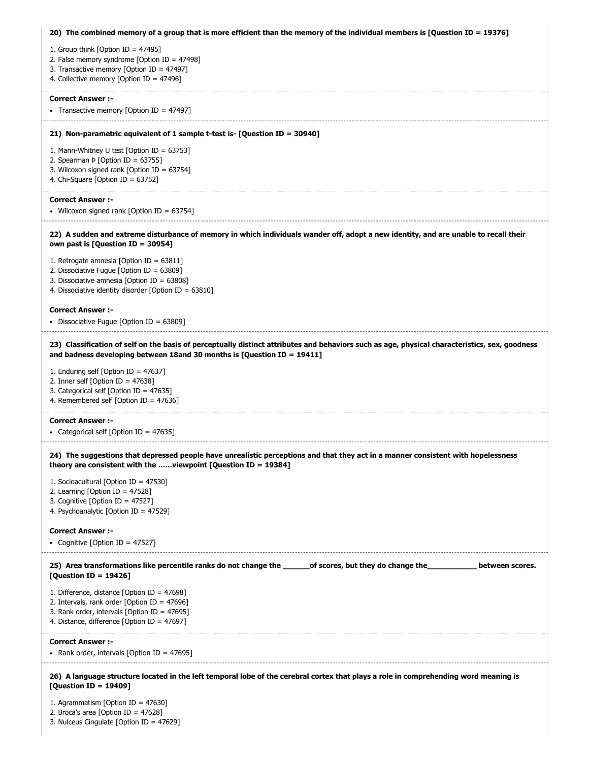| 20) The combined memory of a group that is more efficient than the memory of the individual members is [Question ID = 19376]                                                                                              |
|---------------------------------------------------------------------------------------------------------------------------------------------------------------------------------------------------------------------------|
| 1. Group think [Option ID = $47495$ ]                                                                                                                                                                                     |
| 2. False memory syndrome [Option ID = 47498]                                                                                                                                                                              |
| 3. Transactive memory [Option ID = 47497]                                                                                                                                                                                 |
| 4. Collective memory [Option ID = 47496]                                                                                                                                                                                  |
| <b>Correct Answer :-</b>                                                                                                                                                                                                  |
| • Transactive memory [Option ID = 47497]                                                                                                                                                                                  |
|                                                                                                                                                                                                                           |
| 21) Non-parametric equivalent of 1 sample t-test is- [Question ID = 30940]                                                                                                                                                |
| 1. Mann-Whitney U test [Option ID = 63753]                                                                                                                                                                                |
| 2. Spearman Þ [Option ID = 63755]                                                                                                                                                                                         |
| 3. Wilcoxon signed rank [Option ID = 63754]<br>4. Chi-Square [Option ID = 63752]                                                                                                                                          |
|                                                                                                                                                                                                                           |
| <b>Correct Answer :-</b>                                                                                                                                                                                                  |
| • Wilcoxon signed rank [Option ID = 63754]                                                                                                                                                                                |
| 22) A sudden and extreme disturbance of memory in which individuals wander off, adopt a new identity, and are unable to recall their<br>own past is [Question ID = 30954]                                                 |
|                                                                                                                                                                                                                           |
| 1. Retrogate amnesia [Option ID = $63811$ ]                                                                                                                                                                               |
| 2. Dissociative Fugue [Option ID = 63809]<br>3. Dissociative amnesia [Option ID = 63808]                                                                                                                                  |
| 4. Dissociative identity disorder [Option ID = 63810]                                                                                                                                                                     |
|                                                                                                                                                                                                                           |
| <b>Correct Answer :-</b>                                                                                                                                                                                                  |
| • Dissociative Fugue [Option ID = $63809$ ]                                                                                                                                                                               |
| 23) Classification of self on the basis of perceptually distinct attributes and behaviors such as age, physical characteristics, sex, goodness<br>and badness developing between 18and 30 months is [Question ID = 19411] |
| 1. Enduring self [Option ID = 47637]                                                                                                                                                                                      |
| 2. Inner self [Option ID = $47638$ ]                                                                                                                                                                                      |
| 3. Categorical self [Option ID = 47635]                                                                                                                                                                                   |
| 4. Remembered self [Option ID = 47636]                                                                                                                                                                                    |
| <b>Correct Answer :-</b>                                                                                                                                                                                                  |
| • Categorical self [Option ID = $47635$ ]                                                                                                                                                                                 |
| 24) The suggestions that depressed people have unrealistic perceptions and that they act in a manner consistent with hopelessness<br>theory are consistent with the  viewpoint [Question ID = 19384]                      |
| 1. Socioacultural [Option ID = 47530]                                                                                                                                                                                     |
| 2. Learning [Option ID = $47528$ ]                                                                                                                                                                                        |
| 3. Cognitive [Option ID = $47527$ ]                                                                                                                                                                                       |
| 4. Psychoanalytic [Option ID = 47529]                                                                                                                                                                                     |
| <b>Correct Answer:-</b>                                                                                                                                                                                                   |
| • Cognitive [Option ID = 47527]                                                                                                                                                                                           |
| 25) Area transformations like percentile ranks do not change the ________of scores, but they do change the<br>between scores.<br>[Question ID = 19426]                                                                    |
| 1. Difference, distance [Option ID = 47698]                                                                                                                                                                               |
| 2. Intervals, rank order [Option ID = $47696$ ]                                                                                                                                                                           |
| 3. Rank order, intervals [Option ID = 47695]                                                                                                                                                                              |
| 4. Distance, difference [Option ID = 47697]                                                                                                                                                                               |
| <b>Correct Answer :-</b>                                                                                                                                                                                                  |
| • Rank order, intervals [Option ID = $47695$ ]                                                                                                                                                                            |
|                                                                                                                                                                                                                           |
| 26) A language structure located in the left temporal lobe of the cerebral cortex that plays a role in comprehending word meaning is<br>[Question ID = 19409]                                                             |
| 1. Agrammatism [Option ID = $47630$ ]                                                                                                                                                                                     |
| 2. Broca's area [Option ID = $47628$ ]                                                                                                                                                                                    |
| 3. Nulceus Cingulate [Option ID = $47629$ ]                                                                                                                                                                               |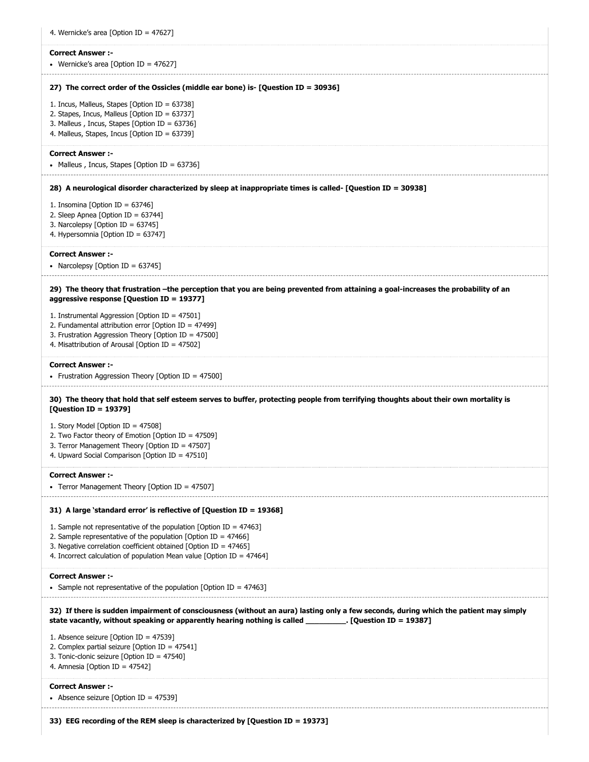| <b>Correct Answer:-</b>                                                                                                                                                                                                                |
|----------------------------------------------------------------------------------------------------------------------------------------------------------------------------------------------------------------------------------------|
| • Wernicke's area [Option ID = 47627]                                                                                                                                                                                                  |
| 27) The correct order of the Ossicles (middle ear bone) is- [Question ID = 30936]                                                                                                                                                      |
| 1. Incus, Malleus, Stapes [Option ID = $63738$ ]<br>2. Stapes, Incus, Malleus [Option ID = 63737]                                                                                                                                      |
| 3. Malleus, Incus, Stapes [Option ID = 63736]<br>4. Malleus, Stapes, Incus [Option ID = 63739]                                                                                                                                         |
| <b>Correct Answer :-</b>                                                                                                                                                                                                               |
| • Malleus, Incus, Stapes [Option ID = 63736]                                                                                                                                                                                           |
| 28) A neurological disorder characterized by sleep at inappropriate times is called- [Question ID = 30938]                                                                                                                             |
| 1. Insomina [Option ID = 63746]                                                                                                                                                                                                        |
| 2. Sleep Apnea [Option ID = 63744]<br>3. Narcolepsy [Option ID = $63745$ ]                                                                                                                                                             |
| 4. Hypersomnia [Option ID = 63747]                                                                                                                                                                                                     |
| <b>Correct Answer :-</b><br>• Narcolepsy [Option ID = 63745]                                                                                                                                                                           |
| 29) The theory that frustration -the perception that you are being prevented from attaining a goal-increases the probability of an<br>aggressive response [Question ID = 19377]                                                        |
| 1. Instrumental Aggression [Option ID = 47501]                                                                                                                                                                                         |
| 2. Fundamental attribution error [Option ID = 47499]<br>3. Frustration Aggression Theory [Option ID = 47500]                                                                                                                           |
| 4. Misattribution of Arousal [Option ID = 47502]                                                                                                                                                                                       |
| <b>Correct Answer :-</b><br>• Frustration Aggression Theory [Option ID = 47500]                                                                                                                                                        |
|                                                                                                                                                                                                                                        |
| 30) The theory that hold that self esteem serves to buffer, protecting people from terrifying thoughts about their own mortality is                                                                                                    |
| [Question ID = 19379]                                                                                                                                                                                                                  |
| 1. Story Model [Option ID = 47508]                                                                                                                                                                                                     |
| 2. Two Factor theory of Emotion [Option ID = 47509]<br>3. Terror Management Theory [Option ID = 47507]                                                                                                                                 |
| 4. Upward Social Comparison [Option ID = 47510]                                                                                                                                                                                        |
| <b>Correct Answer:-</b><br>• Terror Management Theory [Option ID = 47507]                                                                                                                                                              |
| 31) A large 'standard error' is reflective of [Question ID = 19368]                                                                                                                                                                    |
| 1. Sample not representative of the population [Option ID = $47463$ ]                                                                                                                                                                  |
| 2. Sample representative of the population [Option ID = $47466$ ]                                                                                                                                                                      |
| 3. Negative correlation coefficient obtained [Option ID = 47465]<br>4. Incorrect calculation of population Mean value [Option ID = $47464$ ]                                                                                           |
| <b>Correct Answer :-</b>                                                                                                                                                                                                               |
| • Sample not representative of the population [Option ID = $47463$ ]                                                                                                                                                                   |
| 32) If there is sudden impairment of consciousness (without an aura) lasting only a few seconds, during which the patient may simply<br>state vacantly, without speaking or apparently hearing nothing is called [Question ID = 19387] |
| 1. Absence seizure [Option ID = $47539$ ]<br>2. Complex partial seizure [Option ID = $47541$ ]                                                                                                                                         |
| 3. Tonic-clonic seizure [Option ID = 47540]                                                                                                                                                                                            |
| 4. Amnesia [Option ID = 47542]                                                                                                                                                                                                         |
| <b>Correct Answer :-</b><br>• Absence seizure [Option ID = 47539]                                                                                                                                                                      |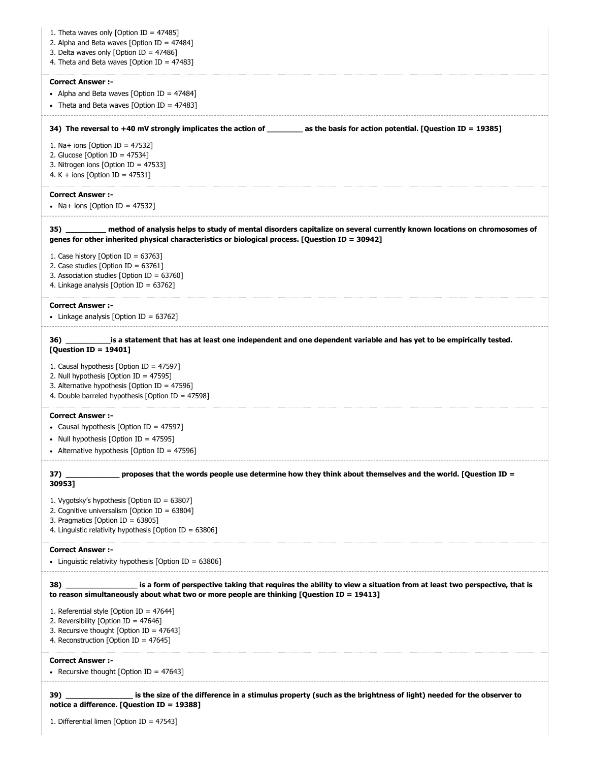| 1. Theta waves only [Option ID = $47485$ ]<br>2. Alpha and Beta waves [Option ID = $47484$ ]<br>3. Delta waves only [Option ID = $47486$ ]<br>4. Theta and Beta waves [Option ID = 47483]                                         |
|-----------------------------------------------------------------------------------------------------------------------------------------------------------------------------------------------------------------------------------|
| <b>Correct Answer:-</b>                                                                                                                                                                                                           |
| • Alpha and Beta waves [Option ID = 47484]<br>• Theta and Beta waves [Option ID = 47483]                                                                                                                                          |
|                                                                                                                                                                                                                                   |
| 34) The reversal to +40 mV strongly implicates the action of ________ as the basis for action potential. [Question ID = 19385]                                                                                                    |
| 1. Na+ ions [Option ID = $47532$ ]                                                                                                                                                                                                |
| 2. Glucose [Option ID = $47534$ ]<br>3. Nitrogen ions [Option ID = 47533]                                                                                                                                                         |
| 4. K + ions [Option ID = $47531$ ]                                                                                                                                                                                                |
| <b>Correct Answer :-</b>                                                                                                                                                                                                          |
| • Na+ ions [Option ID = 47532]                                                                                                                                                                                                    |
| method of analysis helps to study of mental disorders capitalize on several currently known locations on chromosomes of<br>35)<br>genes for other inherited physical characteristics or biological process. [Question ID = 30942] |
| 1. Case history [Option ID = $63763$ ]<br>2. Case studies [Option ID = $63761$ ]                                                                                                                                                  |
| 3. Association studies [Option ID = $63760$ ]                                                                                                                                                                                     |
| 4. Linkage analysis [Option ID = 63762]                                                                                                                                                                                           |
| <b>Correct Answer :-</b><br>• Linkage analysis [Option ID = $63762$ ]                                                                                                                                                             |
| _is a statement that has at least one independent and one dependent variable and has yet to be empirically tested.<br>[Question ID = 19401]                                                                                       |
| 1. Causal hypothesis [Option ID = 47597]<br>2. Null hypothesis [Option ID = 47595]<br>3. Alternative hypothesis [Option ID = $47596$ ]<br>4. Double barreled hypothesis [Option ID = 47598]                                       |
| <b>Correct Answer:-</b>                                                                                                                                                                                                           |
| • Causal hypothesis [Option ID = 47597]                                                                                                                                                                                           |
| • Null hypothesis [Option ID = 47595]                                                                                                                                                                                             |
| • Alternative hypothesis [Option ID = 47596]                                                                                                                                                                                      |
| proposes that the words people use determine how they think about themselves and the world. [Question ID =<br>37) ____<br>30953]                                                                                                  |
| 1. Vygotsky's hypothesis [Option ID = 63807]                                                                                                                                                                                      |
| 2. Cognitive universalism [Option ID = 63804]<br>3. Pragmatics [Option ID = $63805$ ]                                                                                                                                             |
| 4. Linguistic relativity hypothesis [Option ID = 63806]                                                                                                                                                                           |
| <b>Correct Answer:-</b><br>• Linguistic relativity hypothesis [Option ID = $63806$ ]                                                                                                                                              |
| is a form of perspective taking that requires the ability to view a situation from at least two perspective, that is<br>38)<br>to reason simultaneously about what two or more people are thinking [Question ID = 19413]          |
|                                                                                                                                                                                                                                   |
| 1. Referential style [Option ID = $47644$ ]<br>2. Reversibility [Option ID = $47646$ ]                                                                                                                                            |
| 3. Recursive thought [Option ID = $47643$ ]                                                                                                                                                                                       |
| 4. Reconstruction [Option ID = 47645]                                                                                                                                                                                             |
| <b>Correct Answer:-</b>                                                                                                                                                                                                           |
| • Recursive thought [Option ID = $47643$ ]                                                                                                                                                                                        |
| 39) is the size of the difference in a stimulus property (such as the brightness of light) needed for the observer to<br>notice a difference. [Question ID = 19388]                                                               |
| 1. Differential limen [Option ID = 47543]                                                                                                                                                                                         |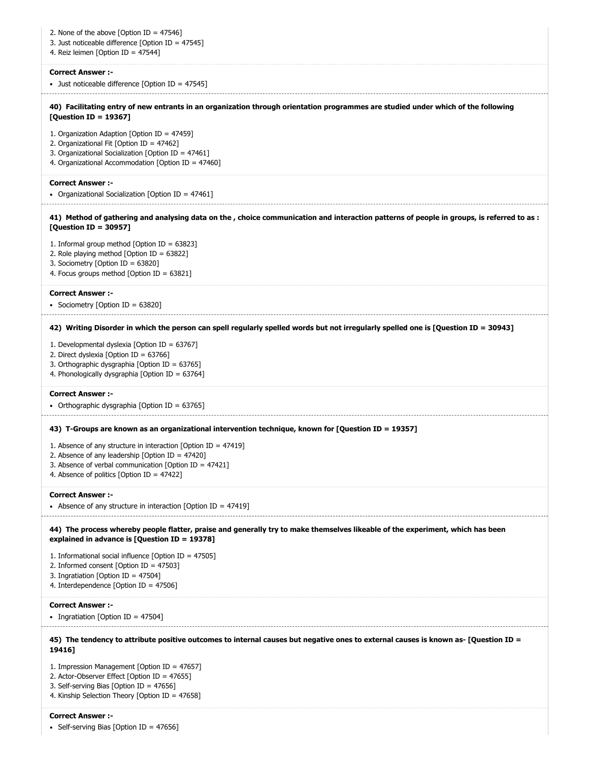2. None of the above [Option ID = 47546] 3. Just noticeable difference [Option ID = 47545] 4. Reiz leimen [Option ID = 47544] **Correct Answer :-** • Just noticeable difference [Option ID = 47545] **40) Facilitating entry of new entrants in an organization through orientation programmes are studied under which of the following [Question ID = 19367]** 1. Organization Adaption [Option ID = 47459] 2. Organizational Fit [Option ID = 47462] 3. Organizational Socialization [Option ID = 47461] 4. Organizational Accommodation [Option ID = 47460] **Correct Answer :-** • Organizational Socialization [Option ID = 47461] **41) Method of gathering and analysing data on the , choice communication and interaction patterns of people in groups, is referred to as : [Question ID = 30957]** 1. Informal group method [Option ID = 63823] 2. Role playing method [Option ID = 63822] 3. Sociometry [Option ID = 63820] 4. Focus groups method [Option ID = 63821] **Correct Answer :-** • Sociometry [Option ID = 63820] **42) Writing Disorder in which the person can spell regularly spelled words but not irregularly spelled one is [Question ID = 30943]** 1. Developmental dyslexia [Option ID = 63767] 2. Direct dyslexia [Option ID = 63766] 3. Orthographic dysgraphia [Option ID = 63765] 4. Phonologically dysgraphia [Option ID = 63764] **Correct Answer :-** • Orthographic dysgraphia [Option ID = 63765] **43) T-Groups are known as an organizational intervention technique, known for [Question ID = 19357]** 1. Absence of any structure in interaction [Option ID = 47419] 2. Absence of any leadership [Option ID = 47420] 3. Absence of verbal communication [Option ID = 47421] 4. Absence of politics [Option ID = 47422] **Correct Answer :-** Absence of any structure in interaction [Option ID = 47419] **44) The process whereby people flatter, praise and generally try to make themselves likeable of the experiment, which has been explained in advance is [Question ID = 19378]** 1. Informational social influence [Option ID = 47505] 2. Informed consent [Option ID = 47503] 3. Ingratiation [Option ID = 47504] 4. Interdependence [Option ID = 47506] **Correct Answer :-** • Ingratiation [Option ID =  $47504$ ] **45) The tendency to attribute positive outcomes to internal causes but negative ones to external causes is known as- [Question ID = 19416]** 1. Impression Management [Option ID = 47657] 2. Actor-Observer Effect [Option ID = 47655] 3. Self-serving Bias [Option ID = 47656] 4. Kinship Selection Theory [Option ID = 47658] **Correct Answer :-**

• Self-serving Bias [Option ID =  $47656$ ]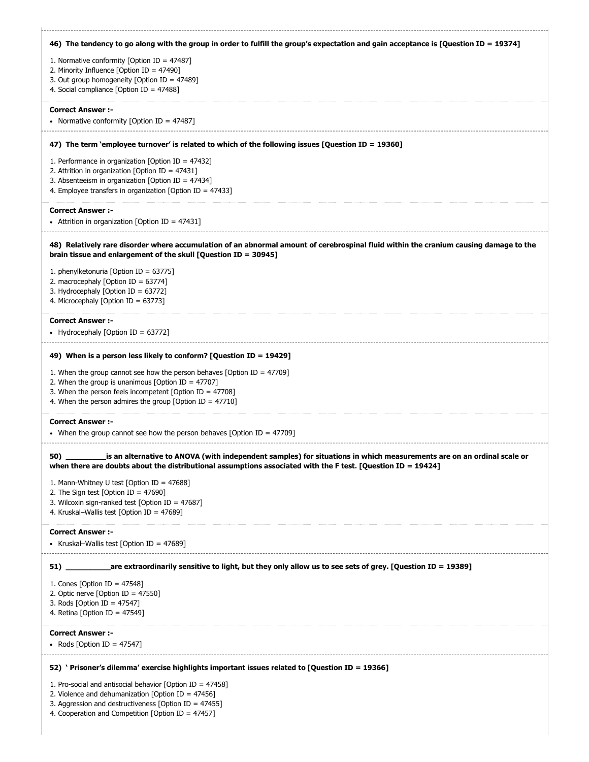| 46) The tendency to go along with the group in order to fulfill the group's expectation and gain acceptance is [Question ID = 19374]                                                                                                                                                                                                   |
|----------------------------------------------------------------------------------------------------------------------------------------------------------------------------------------------------------------------------------------------------------------------------------------------------------------------------------------|
| 1. Normative conformity [Option ID = 47487]<br>2. Minority Influence [Option ID = 47490]<br>3. Out group homogeneity [Option ID = 47489]<br>4. Social compliance [Option ID = 47488]                                                                                                                                                   |
| <b>Correct Answer :-</b><br>• Normative conformity [Option ID = 47487]                                                                                                                                                                                                                                                                 |
| 47) The term 'employee turnover' is related to which of the following issues [Question ID = 19360]                                                                                                                                                                                                                                     |
| 1. Performance in organization [Option ID = $47432$ ]<br>2. Attrition in organization [Option ID = $47431$ ]<br>3. Absenteeism in organization [Option ID = 47434]<br>4. Employee transfers in organization [Option ID = 47433]                                                                                                        |
| <b>Correct Answer:-</b><br>• Attrition in organization [Option ID = 47431]                                                                                                                                                                                                                                                             |
| 48) Relatively rare disorder where accumulation of an abnormal amount of cerebrospinal fluid within the cranium causing damage to the<br>brain tissue and enlargement of the skull [Question ID = 30945]                                                                                                                               |
| 1. phenylketonuria [Option ID = 63775]<br>2. macrocephaly [Option ID = $63774$ ]<br>3. Hydrocephaly [Option ID = 63772]<br>4. Microcephaly [Option ID = 63773]                                                                                                                                                                         |
| <b>Correct Answer :-</b><br>• Hydrocephaly [Option ID = 63772]                                                                                                                                                                                                                                                                         |
| 49) When is a person less likely to conform? [Question ID = 19429]<br>1. When the group cannot see how the person behaves [Option ID = $47709$ ]<br>2. When the group is unanimous [Option ID = $47707$ ]<br>3. When the person feels incompetent [Option ID = $47708$ ]                                                               |
| 4. When the person admires the group [Option ID = $47710$ ]                                                                                                                                                                                                                                                                            |
| <b>Correct Answer :-</b><br>• When the group cannot see how the person behaves [Option ID = $47709$ ]                                                                                                                                                                                                                                  |
| is an alternative to ANOVA (with independent samples) for situations in which measurements are on an ordinal scale or<br>when there are doubts about the distributional assumptions associated with the F test. [Question ID = 19424]                                                                                                  |
| 1. Mann-Whitney U test [Option ID = 47688]<br>2. The Sign test [Option ID = $47690$ ]<br>3. Wilcoxin sign-ranked test [Option ID = $47687$ ]<br>4. Kruskal-Wallis test [Option ID = 47689]                                                                                                                                             |
| <b>Correct Answer:-</b><br>• Kruskal–Wallis test [Option ID = 47689]                                                                                                                                                                                                                                                                   |
| 51) are extraordinarily sensitive to light, but they only allow us to see sets of grey. [Question ID = 19389]                                                                                                                                                                                                                          |
| 1. Cones [Option ID = $47548$ ]<br>2. Optic nerve [Option ID = $47550$ ]<br>3. Rods [Option ID = $47547$ ]<br>4. Retina [Option ID = 47549]                                                                                                                                                                                            |
| <b>Correct Answer :-</b><br>• Rods [Option ID = 47547]                                                                                                                                                                                                                                                                                 |
|                                                                                                                                                                                                                                                                                                                                        |
| 52) 'Prisoner's dilemma' exercise highlights important issues related to [Question ID = 19366]<br>1. Pro-social and antisocial behavior [Option ID = $47458$ ]<br>2. Violence and dehumanization [Option ID = $47456$ ]<br>3. Aggression and destructiveness [Option ID = 47455]<br>4. Cooperation and Competition [Option ID = 47457] |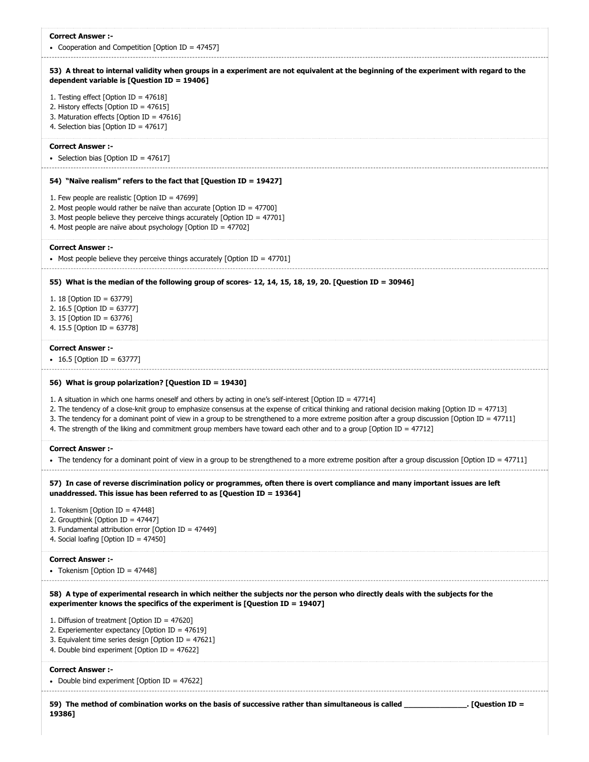| <b>Correct Answer :-</b><br>• Cooperation and Competition [Option ID = 47457]                                                                                                                                                                                                                                                                                                                                                                                                                                                                |
|----------------------------------------------------------------------------------------------------------------------------------------------------------------------------------------------------------------------------------------------------------------------------------------------------------------------------------------------------------------------------------------------------------------------------------------------------------------------------------------------------------------------------------------------|
| 53) A threat to internal validity when groups in a experiment are not equivalent at the beginning of the experiment with regard to the<br>dependent variable is [Question ID = $19406$ ]                                                                                                                                                                                                                                                                                                                                                     |
| 1. Testing effect [Option ID = $47618$ ]<br>2. History effects [Option ID = 47615]<br>3. Maturation effects [Option ID = 47616]<br>4. Selection bias [Option ID = $47617$ ]                                                                                                                                                                                                                                                                                                                                                                  |
| <b>Correct Answer :-</b><br>• Selection bias [Option ID = 47617]                                                                                                                                                                                                                                                                                                                                                                                                                                                                             |
| 54) "Naïve realism" refers to the fact that [Question ID = 19427]                                                                                                                                                                                                                                                                                                                                                                                                                                                                            |
| 1. Few people are realistic [Option ID = 47699]<br>2. Most people would rather be naïve than accurate [Option ID = $47700$ ]<br>3. Most people believe they perceive things accurately [Option ID = $47701$ ]<br>4. Most people are naïve about psychology [Option ID = 47702]                                                                                                                                                                                                                                                               |
| <b>Correct Answer:-</b><br>• Most people believe they perceive things accurately [Option ID = 47701]                                                                                                                                                                                                                                                                                                                                                                                                                                         |
| 55) What is the median of the following group of scores- 12, 14, 15, 18, 19, 20. [Question ID = 30946]                                                                                                                                                                                                                                                                                                                                                                                                                                       |
| 1. 18 [Option ID = 63779]<br>2. 16.5 [Option ID = 63777]<br>3. 15 [Option ID = 63776]<br>4. 15.5 [Option ID = 63778]                                                                                                                                                                                                                                                                                                                                                                                                                         |
| <b>Correct Answer :-</b><br>• 16.5 [Option ID = 63777]                                                                                                                                                                                                                                                                                                                                                                                                                                                                                       |
| 56) What is group polarization? [Question ID = 19430]                                                                                                                                                                                                                                                                                                                                                                                                                                                                                        |
|                                                                                                                                                                                                                                                                                                                                                                                                                                                                                                                                              |
| 1. A situation in which one harms oneself and others by acting in one's self-interest [Option ID = 47714]<br>2. The tendency of a close-knit group to emphasize consensus at the expense of critical thinking and rational decision making [Option ID = 47713]<br>3. The tendency for a dominant point of view in a group to be strengthened to a more extreme position after a group discussion [Option ID = 47711]<br>4. The strength of the liking and commitment group members have toward each other and to a group [Option ID = 47712] |
| <b>Correct Answer :-</b><br>• Ine tendency for a dominant point of view in a group to be strengthened to a more extreme position after a group discussion [Option ID = 47711]                                                                                                                                                                                                                                                                                                                                                                |
| 57) In case of reverse discrimination policy or programmes, often there is overt compliance and many important issues are left<br>unaddressed. This issue has been referred to as [Question ID = 19364]                                                                                                                                                                                                                                                                                                                                      |
| 1. Tokenism [Option ID = 47448]<br>2. Groupthink [Option ID = 47447]<br>3. Fundamental attribution error [Option ID = 47449]<br>4. Social loafing [Option ID = 47450]                                                                                                                                                                                                                                                                                                                                                                        |
| <b>Correct Answer :-</b><br>• Tokenism [Option ID = 47448]                                                                                                                                                                                                                                                                                                                                                                                                                                                                                   |
| 58) A type of experimental research in which neither the subjects nor the person who directly deals with the subjects for the<br>experimenter knows the specifics of the experiment is [Question ID = 19407]                                                                                                                                                                                                                                                                                                                                 |
| 1. Diffusion of treatment [Option ID = 47620]<br>2. Experiementer expectancy [Option ID = $47619$ ]<br>3. Equivalent time series design [Option ID = $47621$ ]<br>4. Double bind experiment [Option ID = $47622$ ]                                                                                                                                                                                                                                                                                                                           |
| <b>Correct Answer:-</b><br>• Double bind experiment [Option ID = $47622$ ]                                                                                                                                                                                                                                                                                                                                                                                                                                                                   |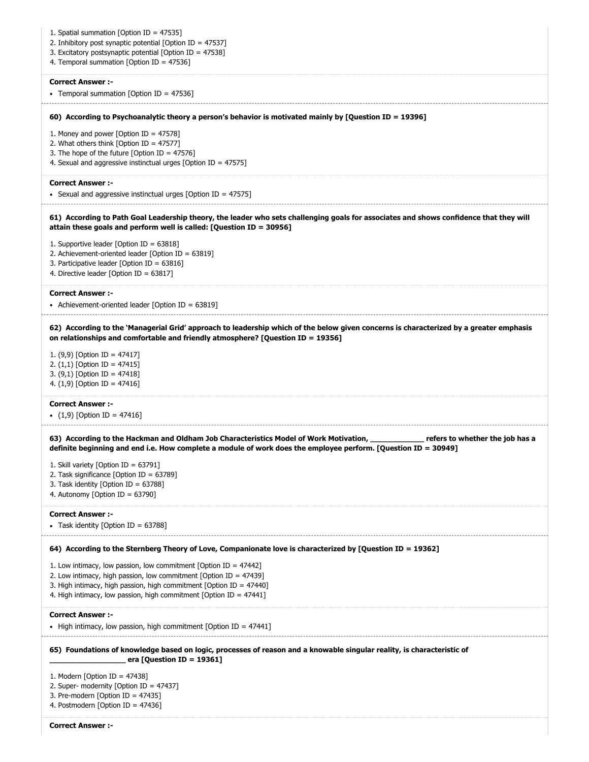| 1. Spatial summation [Option ID = 47535]<br>2. Inhibitory post synaptic potential [Option ID = 47537]<br>3. Excitatory postsynaptic potential [Option ID = 47538]<br>4. Temporal summation [Option ID = 47536]                                                                                 |
|------------------------------------------------------------------------------------------------------------------------------------------------------------------------------------------------------------------------------------------------------------------------------------------------|
| <b>Correct Answer:-</b><br>• Temporal summation [Option ID = 47536]                                                                                                                                                                                                                            |
| 60) According to Psychoanalytic theory a person's behavior is motivated mainly by [Question ID = 19396]                                                                                                                                                                                        |
| 1. Money and power [Option ID = $47578$ ]<br>2. What others think [Option ID = 47577]<br>3. The hope of the future [Option ID = $47576$ ]<br>4. Sexual and aggressive instinctual urges [Option ID = $47575$ ]                                                                                 |
| <b>Correct Answer:-</b><br>• Sexual and aggressive instinctual urges [Option ID = 47575]                                                                                                                                                                                                       |
| 61) According to Path Goal Leadership theory, the leader who sets challenging goals for associates and shows confidence that they will<br>attain these goals and perform well is called: [Question ID = 30956]                                                                                 |
| 1. Supportive leader [Option ID = $63818$ ]<br>2. Achievement-oriented leader [Option ID = 63819]<br>3. Participative leader [Option ID = $63816$ ]<br>4. Directive leader [Option ID = 63817]                                                                                                 |
| <b>Correct Answer :-</b><br>• Achievement-oriented leader [Option ID = $63819$ ]                                                                                                                                                                                                               |
| 62) According to the 'Managerial Grid' approach to leadership which of the below given concerns is characterized by a greater emphasis<br>on relationships and comfortable and friendly atmosphere? [Question ID = 19356]                                                                      |
| 1. $(9,9)$ [Option ID = 47417]<br>2. $(1,1)$ [Option ID = 47415]<br>3. $(9,1)$ [Option ID = 47418]<br>4. $(1,9)$ [Option ID = 47416]                                                                                                                                                           |
| <b>Correct Answer :-</b><br>• $(1,9)$ [Option ID = 47416]                                                                                                                                                                                                                                      |
| 63) According to the Hackman and Oldham Job Characteristics Model of Work Motivation, entermed that the job has a<br>definite beginning and end i.e. How complete a module of work does the employee perform. [Question ID = 30949]                                                            |
| 1. Skill variety [Option ID = 63791]<br>2. Task significance [Option ID = $63789$ ]<br>3. Task identity [Option ID = 63788]<br>4. Autonomy [Option ID = $63790$ ]                                                                                                                              |
| <b>Correct Answer:-</b><br>• Task identity [Option ID = $63788$ ]                                                                                                                                                                                                                              |
| 64) According to the Sternberg Theory of Love, Companionate love is characterized by [Question ID = 19362]                                                                                                                                                                                     |
| 1. Low intimacy, low passion, low commitment [Option ID = $47442$ ]<br>2. Low intimacy, high passion, low commitment [Option ID = $47439$ ]<br>3. High intimacy, high passion, high commitment [Option ID = $47440$ ]<br>4. High intimacy, low passion, high commitment [Option ID = $47441$ ] |
| <b>Correct Answer :-</b><br>• High intimacy, low passion, high commitment [Option ID = $47441$ ]                                                                                                                                                                                               |
| 65) Foundations of knowledge based on logic, processes of reason and a knowable singular reality, is characteristic of<br>era [Question ID = 19361]                                                                                                                                            |
| 1. Modern [Option ID = $47438$ ]<br>2. Super- modernity [Option ID = $47437$ ]<br>3. Pre-modern [Option ID = $47435$ ]<br>4. Postmodern [Option ID = 47436]                                                                                                                                    |
| <b>Correct Answer :-</b>                                                                                                                                                                                                                                                                       |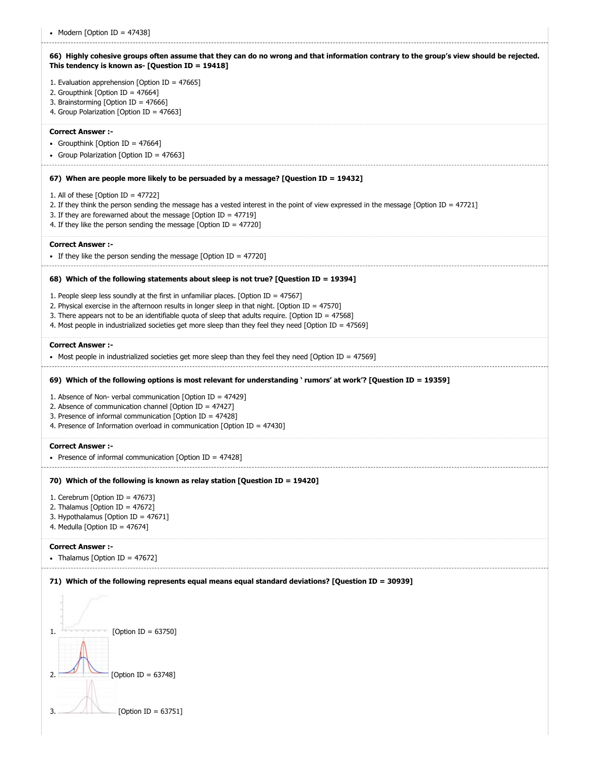| • Modern [Option ID = 47438]                                                                                                                                                                                                                                                                                                                                                                                  |
|---------------------------------------------------------------------------------------------------------------------------------------------------------------------------------------------------------------------------------------------------------------------------------------------------------------------------------------------------------------------------------------------------------------|
| 66) Highly cohesive groups often assume that they can do no wrong and that information contrary to the group's view should be rejected.<br>This tendency is known as- [Question ID = $19418$ ]                                                                                                                                                                                                                |
| 1. Evaluation apprehension [Option ID = $47665$ ]<br>2. Groupthink [Option ID = 47664]<br>3. Brainstorming [Option ID = 47666]                                                                                                                                                                                                                                                                                |
| 4. Group Polarization [Option ID = 47663]                                                                                                                                                                                                                                                                                                                                                                     |
| <b>Correct Answer :-</b><br>• Groupthink [Option ID = 47664]                                                                                                                                                                                                                                                                                                                                                  |
| • Group Polarization [Option ID = 47663]                                                                                                                                                                                                                                                                                                                                                                      |
| 67) When are people more likely to be persuaded by a message? [Question ID = 19432]                                                                                                                                                                                                                                                                                                                           |
| 1. All of these [Option ID = $47722$ ]<br>2. If they think the person sending the message has a vested interest in the point of view expressed in the message [Option ID = 47721]<br>3. If they are forewarned about the message [Option ID = $47719$ ]<br>4. If they like the person sending the message [Option ID = $47720$ ]                                                                              |
| <b>Correct Answer:-</b><br>• If they like the person sending the message [Option ID = 47720]                                                                                                                                                                                                                                                                                                                  |
| 68) Which of the following statements about sleep is not true? [Question ID = 19394]                                                                                                                                                                                                                                                                                                                          |
| 1. People sleep less soundly at the first in unfamiliar places. [Option ID = $47567$ ]<br>2. Physical exercise in the afternoon results in longer sleep in that night. [Option ID = $47570$ ]<br>3. There appears not to be an identifiable quota of sleep that adults require. [Option ID = 47568]<br>4. Most people in industrialized societies get more sleep than they feel they need [Option ID = 47569] |
| <b>Correct Answer :-</b><br>• Most people in industrialized societies get more sleep than they feel they need [Option ID = 47569]                                                                                                                                                                                                                                                                             |
| 69) Which of the following options is most relevant for understanding 'rumors' at work'? [Question ID = 19359]                                                                                                                                                                                                                                                                                                |
| 1. Absence of Non- verbal communication [Option ID = 47429]<br>2. Absence of communication channel [Option ID = $47427$ ]<br>3. Presence of informal communication [Option ID = 47428]<br>4. Presence of Information overload in communication [Option ID = 47430]                                                                                                                                            |
| <b>Correct Answer :-</b><br>• Presence of informal communication [Option ID = $47428$ ]                                                                                                                                                                                                                                                                                                                       |
| 70) Which of the following is known as relay station [Question ID = 19420]                                                                                                                                                                                                                                                                                                                                    |
| 1. Cerebrum [Option ID = $47673$ ]<br>2. Thalamus [Option ID = $47672$ ]                                                                                                                                                                                                                                                                                                                                      |
| 3. Hypothalamus [Option ID = 47671]<br>4. Medulla [Option ID = $47674$ ]                                                                                                                                                                                                                                                                                                                                      |
| <b>Correct Answer:-</b><br>• Thalamus [Option ID = $47672$ ]                                                                                                                                                                                                                                                                                                                                                  |
| 71) Which of the following represents equal means equal standard deviations? [Question ID = 30939]                                                                                                                                                                                                                                                                                                            |
|                                                                                                                                                                                                                                                                                                                                                                                                               |
| [Option ID = $63750$ ]<br>1.                                                                                                                                                                                                                                                                                                                                                                                  |
| [Option ID = 63748]                                                                                                                                                                                                                                                                                                                                                                                           |
| [Option ID = $63751$ ]                                                                                                                                                                                                                                                                                                                                                                                        |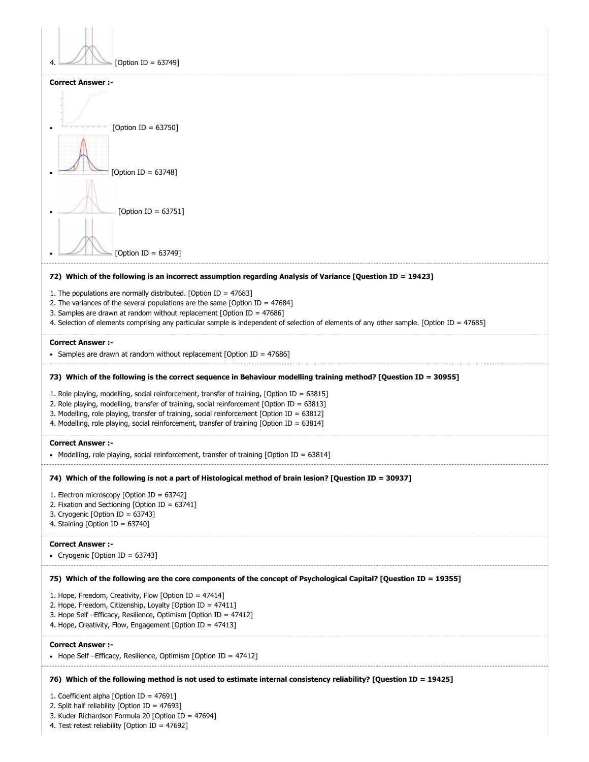| [Option ID = 63749]                                                                                                                                                                                                                                                                                                                                                                      |
|------------------------------------------------------------------------------------------------------------------------------------------------------------------------------------------------------------------------------------------------------------------------------------------------------------------------------------------------------------------------------------------|
| <b>Correct Answer :-</b>                                                                                                                                                                                                                                                                                                                                                                 |
|                                                                                                                                                                                                                                                                                                                                                                                          |
| [Option ID = $63750$ ]                                                                                                                                                                                                                                                                                                                                                                   |
|                                                                                                                                                                                                                                                                                                                                                                                          |
| [Option ID = $63748$ ]                                                                                                                                                                                                                                                                                                                                                                   |
| [Option ID = $63751$ ]                                                                                                                                                                                                                                                                                                                                                                   |
| [Option ID = 63749]                                                                                                                                                                                                                                                                                                                                                                      |
| 72) Which of the following is an incorrect assumption regarding Analysis of Variance [Question ID = 19423]                                                                                                                                                                                                                                                                               |
| 1. The populations are normally distributed. [Option ID = $47683$ ]<br>2. The variances of the several populations are the same [Option ID = $47684$ ]<br>3. Samples are drawn at random without replacement [Option ID = $47686$ ]<br>4. Selection of elements comprising any particular sample is independent of selection of elements of any other sample. [Option ID = 47685]        |
| <b>Correct Answer :-</b><br>• Samples are drawn at random without replacement [Option ID = 47686]                                                                                                                                                                                                                                                                                        |
| 73) Which of the following is the correct sequence in Behaviour modelling training method? [Question ID = 30955]                                                                                                                                                                                                                                                                         |
| 1. Role playing, modelling, social reinforcement, transfer of training, [Option ID = $63815$ ]<br>2. Role playing, modelling, transfer of training, social reinforcement [Option ID = 63813]<br>3. Modelling, role playing, transfer of training, social reinforcement [Option ID = 63812]<br>4. Modelling, role playing, social reinforcement, transfer of training [Option ID = 63814] |
| <b>Correct Answer :-</b><br>• Modelling, role playing, social reinforcement, transfer of training [Option ID = 63814]                                                                                                                                                                                                                                                                    |
| 74) Which of the following is not a part of Histological method of brain lesion? [Question ID = 30937]                                                                                                                                                                                                                                                                                   |
| 1. Electron microscopy [Option ID = 63742]                                                                                                                                                                                                                                                                                                                                               |
| 2. Fixation and Sectioning [Option ID = 63741]<br>3. Cryogenic [Option ID = 63743]                                                                                                                                                                                                                                                                                                       |
| 4. Staining [Option ID = 63740]                                                                                                                                                                                                                                                                                                                                                          |
| <b>Correct Answer :-</b>                                                                                                                                                                                                                                                                                                                                                                 |
| • Cryogenic [Option ID = 63743]                                                                                                                                                                                                                                                                                                                                                          |
| 75) Which of the following are the core components of the concept of Psychological Capital? [Question ID = 19355]                                                                                                                                                                                                                                                                        |
| 1. Hope, Freedom, Creativity, Flow [Option ID = 47414]<br>2. Hope, Freedom, Citizenship, Loyalty [Option ID = 47411]<br>3. Hope Self - Efficacy, Resilience, Optimism [Option ID = 47412]<br>4. Hope, Creativity, Flow, Engagement [Option ID = 47413]                                                                                                                                   |
| <b>Correct Answer :-</b>                                                                                                                                                                                                                                                                                                                                                                 |
| • Hope Self – Efficacy, Resilience, Optimism [Option ID = $47412$ ]                                                                                                                                                                                                                                                                                                                      |
| 76) Which of the following method is not used to estimate internal consistency reliability? [Question ID = 19425]                                                                                                                                                                                                                                                                        |
| 1. Coefficient alpha [Option ID = 47691]                                                                                                                                                                                                                                                                                                                                                 |
| 2. Split half reliability [Option ID = 47693]<br>3. Kuder Richardson Formula 20 [Option ID = 47694]<br>4. Test retest reliability [Option ID = 47692]                                                                                                                                                                                                                                    |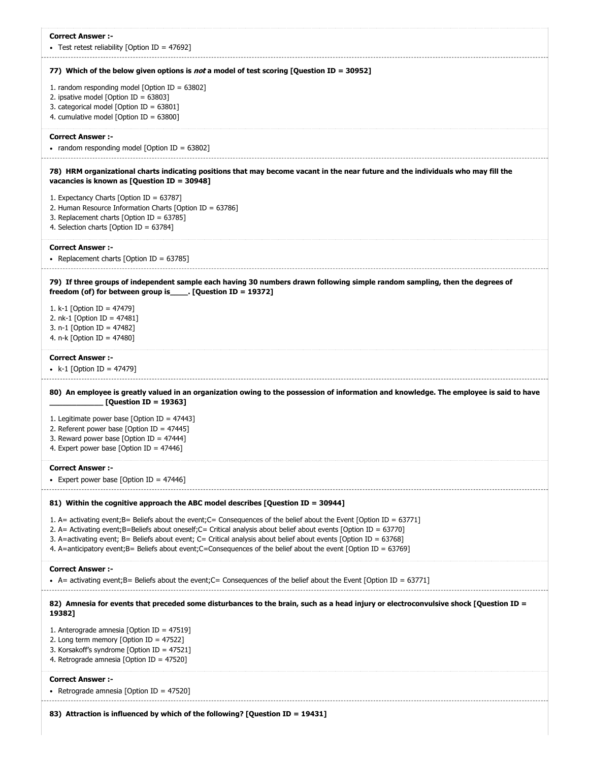| <b>Correct Answer:-</b><br>• Test retest reliability [Option ID = 47692]                                                                                                                                                                                                                                                                                                                                                                                                             |
|--------------------------------------------------------------------------------------------------------------------------------------------------------------------------------------------------------------------------------------------------------------------------------------------------------------------------------------------------------------------------------------------------------------------------------------------------------------------------------------|
| 77) Which of the below given options is <i>not</i> a model of test scoring [Question ID = 30952]                                                                                                                                                                                                                                                                                                                                                                                     |
| 1. random responding model [Option ID = $63802$ ]<br>2. ipsative model [Option ID = $63803$ ]<br>3. categorical model [Option ID = 63801]<br>4. cumulative model [Option ID = $63800$ ]                                                                                                                                                                                                                                                                                              |
| <b>Correct Answer:-</b><br>• random responding model [Option ID = 63802]                                                                                                                                                                                                                                                                                                                                                                                                             |
| 78) HRM organizational charts indicating positions that may become vacant in the near future and the individuals who may fill the<br>vacancies is known as [Question ID = 30948]                                                                                                                                                                                                                                                                                                     |
| 1. Expectancy Charts [Option ID = 63787]<br>2. Human Resource Information Charts [Option ID = $63786$ ]<br>3. Replacement charts [Option ID = $63785$ ]<br>4. Selection charts [Option ID = 63784]                                                                                                                                                                                                                                                                                   |
| <b>Correct Answer :-</b><br>• Replacement charts [Option ID = $63785$ ]                                                                                                                                                                                                                                                                                                                                                                                                              |
| 79) If three groups of independent sample each having 30 numbers drawn following simple random sampling, then the degrees of<br>freedom (of) for between group is $[Question ID = 19372]$                                                                                                                                                                                                                                                                                            |
| 1. k-1 [Option ID = 47479]<br>2. nk-1 [Option ID = $47481$ ]<br>3. n-1 [Option ID = 47482]<br>4. n-k [Option ID = 47480]                                                                                                                                                                                                                                                                                                                                                             |
| <b>Correct Answer :-</b><br>• k-1 [Option ID = 47479]                                                                                                                                                                                                                                                                                                                                                                                                                                |
| 80) An employee is greatly valued in an organization owing to the possession of information and knowledge. The employee is said to have<br>[Question ID = 19363]                                                                                                                                                                                                                                                                                                                     |
| 1. Legitimate power base [Option ID = $47443$ ]<br>2. Referent power base [Option ID = $47445$ ]<br>3. Reward power base [Option ID = $47444$ ]<br>4. Expert power base [Option ID = $47446$ ]                                                                                                                                                                                                                                                                                       |
| <b>Correct Answer :-</b><br>• Expert power base [Option ID = $47446$ ]                                                                                                                                                                                                                                                                                                                                                                                                               |
| 81) Within the cognitive approach the ABC model describes [Question ID = 30944]                                                                                                                                                                                                                                                                                                                                                                                                      |
| 1. A= activating event; B= Beliefs about the event; C= Consequences of the belief about the Event [Option ID = 63771]<br>2. A= Activating event; B=Beliefs about oneself; C= Critical analysis about belief about events [Option ID = 63770]<br>3. A=activating event; B= Beliefs about event; C= Critical analysis about belief about events [Option ID = 63768]<br>4. A=anticipatory event;B= Beliefs about event;C=Consequences of the belief about the event [Option ID = 63769] |
| <b>Correct Answer :-</b><br>• A= activating event; B= Beliefs about the event; C= Consequences of the belief about the Event [Option ID = 63771]                                                                                                                                                                                                                                                                                                                                     |
| 82) Amnesia for events that preceded some disturbances to the brain, such as a head injury or electroconvulsive shock [Question ID =<br>19382]                                                                                                                                                                                                                                                                                                                                       |
| 1. Anterograde amnesia [Option ID = 47519]<br>2. Long term memory [Option ID = $47522$ ]<br>3. Korsakoff's syndrome [Option ID = 47521]<br>4. Retrograde amnesia [Option ID = $47520$ ]                                                                                                                                                                                                                                                                                              |
| <b>Correct Answer :-</b><br>• Retrograde amnesia [Option ID = 47520]                                                                                                                                                                                                                                                                                                                                                                                                                 |
| 83) Attraction is influenced by which of the following? [Question ID = 19431]                                                                                                                                                                                                                                                                                                                                                                                                        |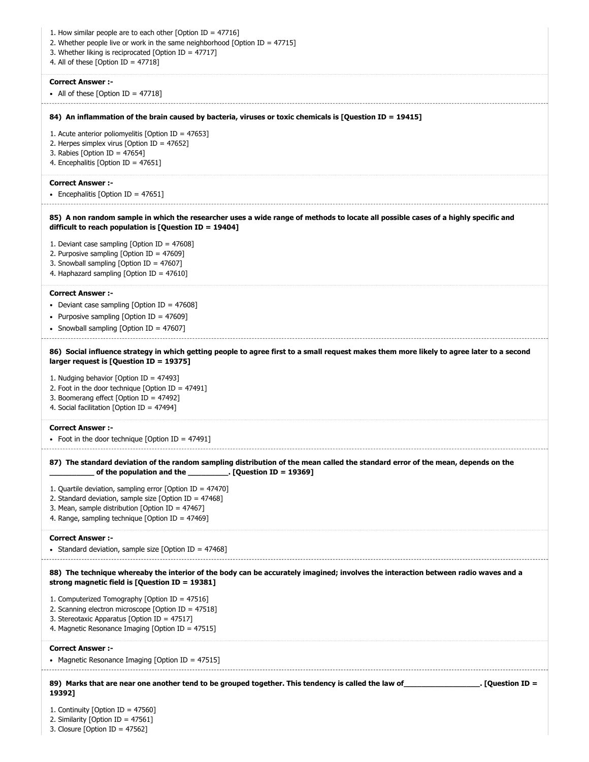| 1. How similar people are to each other [Option ID = $47716$ ]<br>2. Whether people live or work in the same neighborhood [Option ID = $47715$ ]                                                                                     |
|--------------------------------------------------------------------------------------------------------------------------------------------------------------------------------------------------------------------------------------|
| 3. Whether liking is reciprocated [Option ID = $47717$ ]<br>4. All of these [Option ID = $47718$ ]                                                                                                                                   |
| <b>Correct Answer :-</b><br>• All of these [Option ID = $47718$ ]                                                                                                                                                                    |
| 84) An inflammation of the brain caused by bacteria, viruses or toxic chemicals is [Question ID = 19415]                                                                                                                             |
| 1. Acute anterior poliomyelitis [Option ID = $47653$ ]<br>2. Herpes simplex virus [Option ID = 47652]<br>3. Rabies [Option ID = $47654$ ]<br>4. Encephalitis [Option ID = 47651]                                                     |
| <b>Correct Answer :-</b><br>• Encephalitis [Option ID = 47651]                                                                                                                                                                       |
| 85) A non random sample in which the researcher uses a wide range of methods to locate all possible cases of a highly specific and<br>difficult to reach population is [Question ID = $19404$ ]                                      |
| 1. Deviant case sampling [Option ID = $47608$ ]<br>2. Purposive sampling [Option ID = $47609$ ]<br>3. Snowball sampling [Option ID = 47607]<br>4. Haphazard sampling [Option ID = 47610]                                             |
| <b>Correct Answer :-</b><br>• Deviant case sampling [Option ID = $47608$ ]                                                                                                                                                           |
| • Purposive sampling [Option ID = 47609]<br>• Snowball sampling [Option ID = 47607]                                                                                                                                                  |
| 86) Social influence strategy in which getting people to agree first to a small request makes them more likely to agree later to a second<br>larger request is [Question ID = 19375]                                                 |
| 1. Nudging behavior [Option ID = 47493]<br>2. Foot in the door technique [Option ID = $47491$ ]                                                                                                                                      |
| 3. Boomerang effect [Option ID = 47492]<br>4. Social facilitation [Option ID = 47494]                                                                                                                                                |
| <b>Correct Answer:-</b><br>• Foot in the door technique [Option ID = 47491]                                                                                                                                                          |
| 87) The standard deviation of the random sampling distribution of the mean called the standard error of the mean, depends on the<br>of the population and the $\qquad \qquad$ . [Question ID = 19369]                                |
| 1. Quartile deviation, sampling error [Option ID = $47470$ ]<br>2. Standard deviation, sample size [Option ID = $47468$ ]<br>3. Mean, sample distribution [Option ID = $47467$ ]<br>4. Range, sampling technique [Option ID = 47469] |
| <b>Correct Answer :-</b><br>• Standard deviation, sample size [Option ID = 47468]                                                                                                                                                    |
| 88) The technique whereaby the interior of the body can be accurately imagined; involves the interaction between radio waves and a<br>strong magnetic field is $[Question ID = 19381]$                                               |
| 1. Computerized Tomography [Option ID = 47516]<br>2. Scanning electron microscope [Option ID = $47518$ ]<br>3. Stereotaxic Apparatus [Option ID = 47517]<br>4. Magnetic Resonance Imaging [Option ID = 47515]                        |
| <b>Correct Answer :-</b><br>• Magnetic Resonance Imaging [Option ID = 47515]                                                                                                                                                         |
| 89) Marks that are near one another tend to be grouped together. This tendency is called the law of [100] (89) Marks that are near one another tend to be grouped together. This tendency is called the law of<br>19392]             |

2. Similarity [Option ID = 47561]

3. Closure [Option ID = 47562]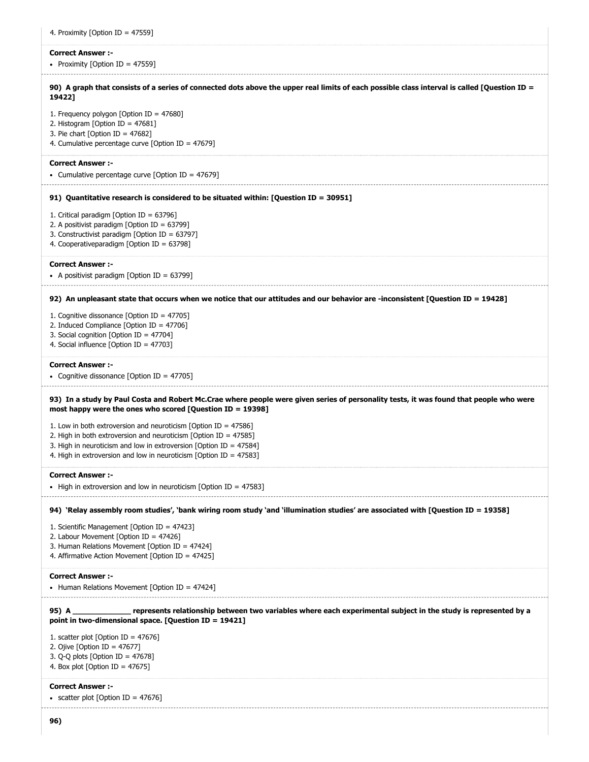| 4. Proximity [Option ID = 47559]                                                                                                                                                                                                                                                         |
|------------------------------------------------------------------------------------------------------------------------------------------------------------------------------------------------------------------------------------------------------------------------------------------|
| <b>Correct Answer :-</b><br>• Proximity [Option ID = 47559]                                                                                                                                                                                                                              |
| 90) A graph that consists of a series of connected dots above the upper real limits of each possible class interval is called [Question ID =<br>19422]                                                                                                                                   |
| 1. Frequency polygon [Option ID = 47680]<br>2. Histogram [Option ID = $47681$ ]<br>3. Pie chart [Option ID = $47682$ ]<br>4. Cumulative percentage curve [Option ID = $47679$ ]                                                                                                          |
| <b>Correct Answer:-</b><br>• Cumulative percentage curve [Option ID = 47679]                                                                                                                                                                                                             |
| 91) Quantitative research is considered to be situated within: [Question ID = 30951]                                                                                                                                                                                                     |
| 1. Critical paradigm [Option ID = 63796]<br>2. A positivist paradigm [Option ID = 63799]<br>3. Constructivist paradigm [Option ID = 63797]<br>4. Cooperativeparadigm [Option ID = 63798]                                                                                                 |
| <b>Correct Answer :-</b><br>• A positivist paradigm [Option ID = $63799$ ]                                                                                                                                                                                                               |
| 92) An unpleasant state that occurs when we notice that our attitudes and our behavior are -inconsistent [Question ID = 19428]                                                                                                                                                           |
| 1. Cognitive dissonance [Option ID = 47705]<br>2. Induced Compliance [Option ID = 47706]<br>3. Social cognition [Option ID = 47704]<br>4. Social influence [Option ID = $47703$ ]                                                                                                        |
| <b>Correct Answer :-</b><br>• Cognitive dissonance [Option ID = 47705]                                                                                                                                                                                                                   |
| 93) In a study by Paul Costa and Robert Mc.Crae where people were given series of personality tests, it was found that people who were<br>most happy were the ones who scored [Question ID = 19398]                                                                                      |
| 1. Low in both extroversion and neuroticism [Option ID = $47586$ ]<br>2. High in both extroversion and neuroticism [Option ID = $47585$ ]<br>3. High in neuroticism and low in extroversion [Option ID = $47584$ ]<br>4. High in extroversion and low in neuroticism [Option ID = 47583] |
| <b>Correct Answer :-</b><br>• High in extroversion and low in neuroticism [Option ID = 47583]                                                                                                                                                                                            |
| 94) 'Relay assembly room studies', 'bank wiring room study 'and 'illumination studies' are associated with [Question ID = 19358]                                                                                                                                                         |
| 1. Scientific Management [Option ID = 47423]<br>2. Labour Movement [Option ID = 47426]<br>3. Human Relations Movement [Option ID = 47424]<br>4. Affirmative Action Movement [Option ID = 47425]                                                                                          |
| <b>Correct Answer :-</b><br>• Human Relations Movement [Option ID = 47424]                                                                                                                                                                                                               |
| 95) A<br>point in two-dimensional space. [Question ID = $19421$ ]                                                                                                                                                                                                                        |
| 1. scatter plot [Option ID = $47676$ ]<br>2. Ojive [Option ID = $47677$ ]<br>3. Q-Q plots [Option ID = $47678$ ]<br>4. Box plot [Option ID = $47675$ ]                                                                                                                                   |
| <b>Correct Answer :-</b><br>• scatter plot [Option ID = 47676]                                                                                                                                                                                                                           |